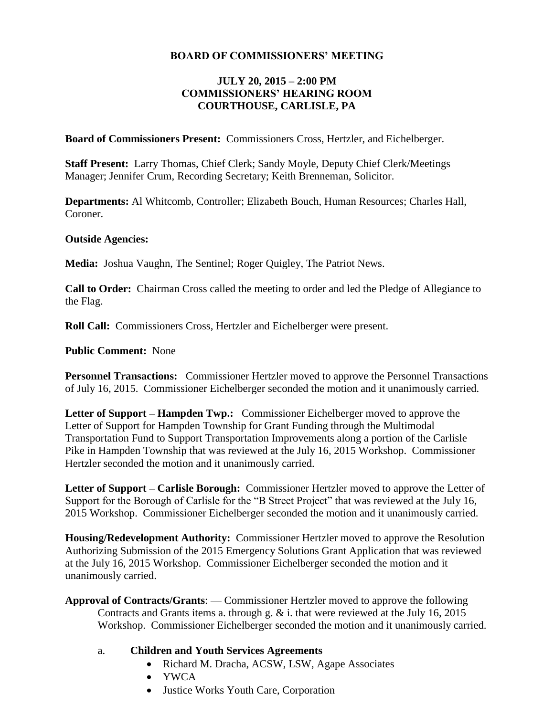## **BOARD OF COMMISSIONERS' MEETING**

## **JULY 20, 2015 – 2:00 PM COMMISSIONERS' HEARING ROOM COURTHOUSE, CARLISLE, PA**

**Board of Commissioners Present:** Commissioners Cross, Hertzler, and Eichelberger.

**Staff Present:** Larry Thomas, Chief Clerk; Sandy Moyle, Deputy Chief Clerk/Meetings Manager; Jennifer Crum, Recording Secretary; Keith Brenneman, Solicitor.

**Departments:** Al Whitcomb, Controller; Elizabeth Bouch, Human Resources; Charles Hall, Coroner.

### **Outside Agencies:**

**Media:** Joshua Vaughn, The Sentinel; Roger Quigley, The Patriot News.

**Call to Order:** Chairman Cross called the meeting to order and led the Pledge of Allegiance to the Flag.

**Roll Call:** Commissioners Cross, Hertzler and Eichelberger were present.

**Public Comment:** None

**Personnel Transactions:** Commissioner Hertzler moved to approve the Personnel Transactions of July 16, 2015. Commissioner Eichelberger seconded the motion and it unanimously carried.

**Letter of Support – Hampden Twp.:** Commissioner Eichelberger moved to approve the Letter of Support for Hampden Township for Grant Funding through the Multimodal Transportation Fund to Support Transportation Improvements along a portion of the Carlisle Pike in Hampden Township that was reviewed at the July 16, 2015 Workshop. Commissioner Hertzler seconded the motion and it unanimously carried.

**Letter of Support – Carlisle Borough:** Commissioner Hertzler moved to approve the Letter of Support for the Borough of Carlisle for the "B Street Project" that was reviewed at the July 16, 2015 Workshop. Commissioner Eichelberger seconded the motion and it unanimously carried.

**Housing/Redevelopment Authority:** Commissioner Hertzler moved to approve the Resolution Authorizing Submission of the 2015 Emergency Solutions Grant Application that was reviewed at the July 16, 2015 Workshop. Commissioner Eichelberger seconded the motion and it unanimously carried.

**Approval of Contracts/Grants**: — Commissioner Hertzler moved to approve the following Contracts and Grants items a. through g. & i. that were reviewed at the July 16, 2015 Workshop. Commissioner Eichelberger seconded the motion and it unanimously carried.

#### a. **Children and Youth Services Agreements**

- Richard M. Dracha, ACSW, LSW, Agape Associates
- YWCA
- Justice Works Youth Care, Corporation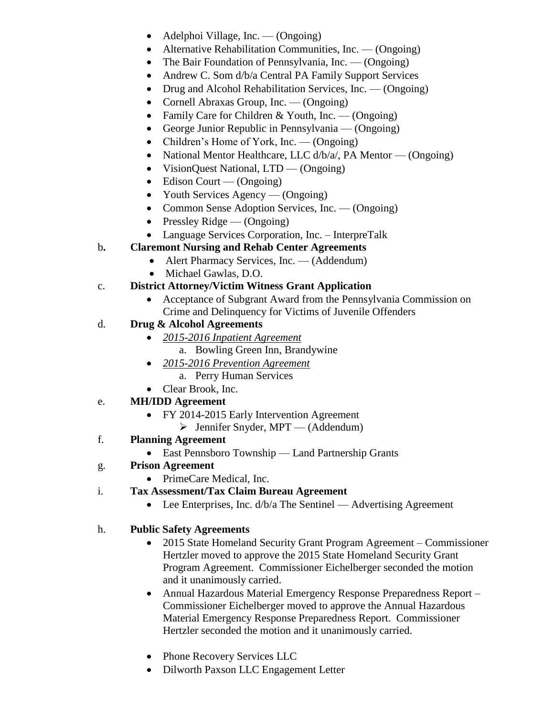- $\bullet$  Adelphoi Village, Inc. (Ongoing)
- Alternative Rehabilitation Communities, Inc. (Ongoing)
- The Bair Foundation of Pennsylvania, Inc. (Ongoing)
- Andrew C. Som d/b/a Central PA Family Support Services
- Drug and Alcohol Rehabilitation Services, Inc. (Ongoing)
- Cornell Abraxas Group, Inc. (Ongoing)
- Family Care for Children & Youth, Inc. (Ongoing)
- George Junior Republic in Pennsylvania (Ongoing)
- Children's Home of York, Inc. (Ongoing)
- National Mentor Healthcare, LLC  $\frac{d}{b/a}$ , PA Mentor (Ongoing)
- VisionQuest National, LTD (Ongoing)
- $\bullet$  Edison Court (Ongoing)
- Youth Services Agency (Ongoing)
- Common Sense Adoption Services, Inc. (Ongoing)
- Pressley Ridge  $(Ongoing)$
- Language Services Corporation, Inc. InterpreTalk
- b**. Claremont Nursing and Rehab Center Agreements**
	- Alert Pharmacy Services, Inc. (Addendum)
	- Michael Gawlas, D.O.
- c. **District Attorney/Victim Witness Grant Application**
	- Acceptance of Subgrant Award from the Pennsylvania Commission on Crime and Delinquency for Victims of Juvenile Offenders
- d. **Drug & Alcohol Agreements**
	- *2015-2016 Inpatient Agreement*
		- a. Bowling Green Inn, Brandywine
	- *2015-2016 Prevention Agreement*
		- a. Perry Human Services
	- Clear Brook, Inc.

# e. **MH/IDD Agreement**

- FY 2014-2015 Early Intervention Agreement
	- $\triangleright$  Jennifer Snyder, MPT (Addendum)
- f. **Planning Agreement**
	- East Pennsboro Township Land Partnership Grants
- g. **Prison Agreement**
	- PrimeCare Medical, Inc.
- i. **Tax Assessment/Tax Claim Bureau Agreement** 
	- Lee Enterprises, Inc.  $d/b/a$  The Sentinel Advertising Agreement

## h. **Public Safety Agreements**

- 2015 State Homeland Security Grant Program Agreement Commissioner Hertzler moved to approve the 2015 State Homeland Security Grant Program Agreement. Commissioner Eichelberger seconded the motion and it unanimously carried.
- Annual Hazardous Material Emergency Response Preparedness Report Commissioner Eichelberger moved to approve the Annual Hazardous Material Emergency Response Preparedness Report. Commissioner Hertzler seconded the motion and it unanimously carried.
- Phone Recovery Services LLC
- Dilworth Paxson LLC Engagement Letter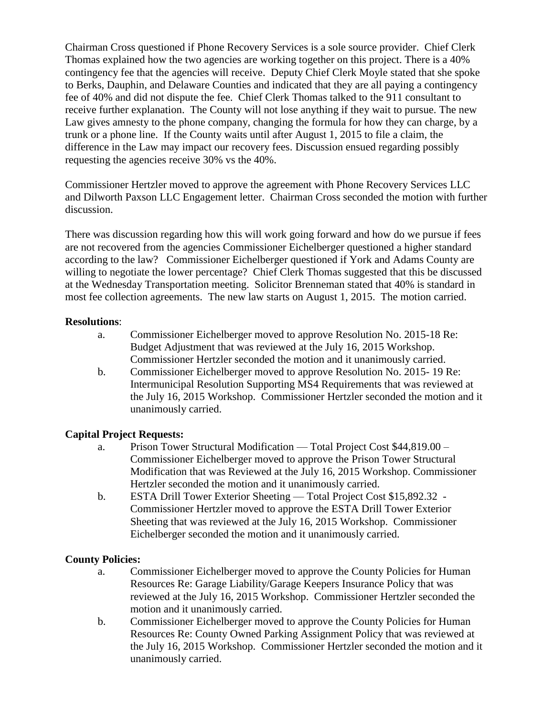Chairman Cross questioned if Phone Recovery Services is a sole source provider. Chief Clerk Thomas explained how the two agencies are working together on this project. There is a 40% contingency fee that the agencies will receive. Deputy Chief Clerk Moyle stated that she spoke to Berks, Dauphin, and Delaware Counties and indicated that they are all paying a contingency fee of 40% and did not dispute the fee. Chief Clerk Thomas talked to the 911 consultant to receive further explanation. The County will not lose anything if they wait to pursue. The new Law gives amnesty to the phone company, changing the formula for how they can charge, by a trunk or a phone line. If the County waits until after August 1, 2015 to file a claim, the difference in the Law may impact our recovery fees. Discussion ensued regarding possibly requesting the agencies receive 30% vs the 40%.

Commissioner Hertzler moved to approve the agreement with Phone Recovery Services LLC and Dilworth Paxson LLC Engagement letter. Chairman Cross seconded the motion with further discussion.

There was discussion regarding how this will work going forward and how do we pursue if fees are not recovered from the agencies Commissioner Eichelberger questioned a higher standard according to the law? Commissioner Eichelberger questioned if York and Adams County are willing to negotiate the lower percentage? Chief Clerk Thomas suggested that this be discussed at the Wednesday Transportation meeting. Solicitor Brenneman stated that 40% is standard in most fee collection agreements. The new law starts on August 1, 2015. The motion carried.

## **Resolutions**:

- a. Commissioner Eichelberger moved to approve Resolution No. 2015-18 Re: Budget Adjustment that was reviewed at the July 16, 2015 Workshop. Commissioner Hertzler seconded the motion and it unanimously carried.
- b. Commissioner Eichelberger moved to approve Resolution No. 2015- 19 Re: Intermunicipal Resolution Supporting MS4 Requirements that was reviewed at the July 16, 2015 Workshop. Commissioner Hertzler seconded the motion and it unanimously carried.

## **Capital Project Requests:**

- a. Prison Tower Structural Modification Total Project Cost \$44,819.00 Commissioner Eichelberger moved to approve the Prison Tower Structural Modification that was Reviewed at the July 16, 2015 Workshop. Commissioner Hertzler seconded the motion and it unanimously carried.
- b. ESTA Drill Tower Exterior Sheeting Total Project Cost \$15,892.32 Commissioner Hertzler moved to approve the ESTA Drill Tower Exterior Sheeting that was reviewed at the July 16, 2015 Workshop. Commissioner Eichelberger seconded the motion and it unanimously carried.

## **County Policies:**

- a. Commissioner Eichelberger moved to approve the County Policies for Human Resources Re: Garage Liability/Garage Keepers Insurance Policy that was reviewed at the July 16, 2015 Workshop. Commissioner Hertzler seconded the motion and it unanimously carried.
- b. Commissioner Eichelberger moved to approve the County Policies for Human Resources Re: County Owned Parking Assignment Policy that was reviewed at the July 16, 2015 Workshop. Commissioner Hertzler seconded the motion and it unanimously carried.